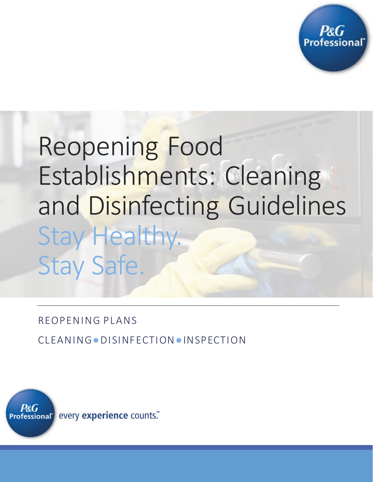

# Reopening Food Establishments: Cleaning and Disinfecting Guidelines Stay Healthy. Stay Safe.

REOPENING PLANS

CLEANING●DISINFECTION●INSPECTION

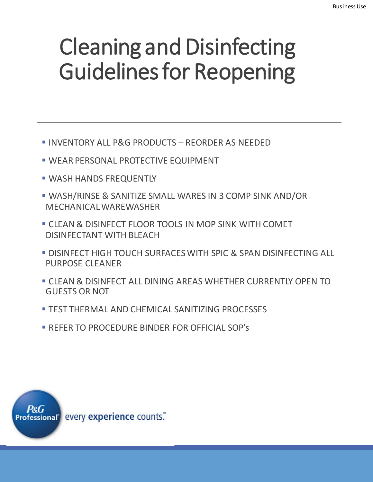## Cleaning and Disinfecting Guidelines for Reopening

- INVENTORY ALL P&G PRODUCTS REORDER AS NEEDED
- WEAR PERSONAL PROTECTIVE EQUIPMENT
- **WASH HANDS FREQUENTLY**
- WASH/RINSE & SANITIZE SMALL WARES IN 3 COMP SINK AND/OR MECHANICAL WAREWASHER
- CLEAN & DISINFECT FLOOR TOOLS IN MOP SINK WITH COMET DISINFECTANT WITH BLEACH
- **DISINFECT HIGH TOUCH SURFACES WITH SPIC & SPAN DISINFECTING ALL** PURPOSE CLEANER
- CLEAN & DISINFECT ALL DINING AREAS WHETHER CURRENTLY OPEN TO GUESTS OR NOT
- **TEST THERMAL AND CHEMICAL SANITIZING PROCESSES**
- REFER TO PROCEDURE BINDER FOR OFFICIAL SOP's

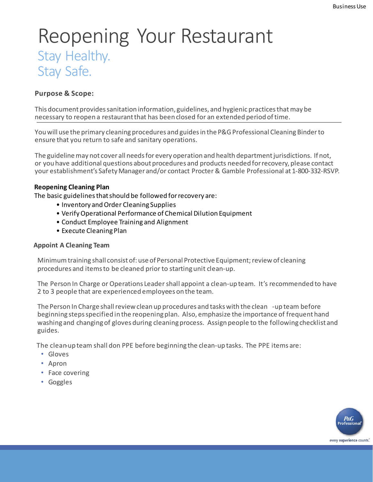### Reopening Your Restaurant Stay Healthy. Stay Safe.

#### **Purpose & Scope:**

This document provides sanitation information, guidelines, and hygienic practices that may be necessary to reopen a restaurant that has been closed for an extended period of time.

You will use the primary cleaning procedures and guides in the P&G Professional Cleaning Binder to ensure that you return to safe and sanitary operations.

The guideline may not cover all needs for every operation and health department jurisdictions. If not, or you have additional questions about procedures and products needed for recovery, please contact your establishment's Safety Manager and/or contact Procter & Gamble Professional at 1-800-332-RSVP.

#### **Reopening Cleaning Plan**

The basic guidelines that should be followed for recovery are:

- Inventory and Order Cleaning Supplies
- Verify Operational Performance of Chemical Dilution Equipment
- Conduct Employee Training and Alignment
- Execute Cleaning Plan

#### **Appoint A Cleaning Team**

Minimum training shall consist of: use of Personal Protective Equipment; review of cleaning procedures and items to be cleaned prior to starting unit clean-up.

The Person In Charge or Operations Leader shall appoint a clean-up team. It's recommended to have 2 to 3 people that are experienced employees on the team.

The Person In Charge shall review clean up procedures and tasks with the clean -up team before beginning steps specified in the reopening plan. Also, emphasize the importance of frequent hand washing and changing of gloves during cleaning process. Assign people to the following checklist and guides.

The clean-up team shall don PPE before beginning the clean-up tasks. The PPE items are:

- Gloves
- Apron
- Face covering
- Goggles

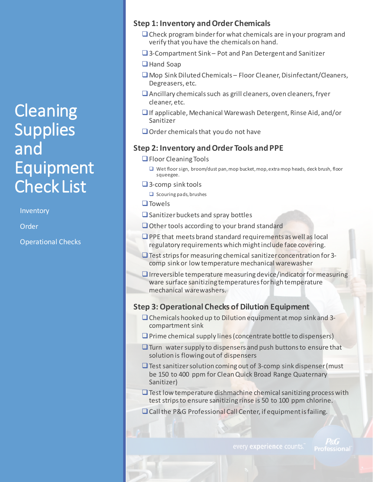### **Cleaning Supplies** and Equipment Check List

Inventory

Order

Operational Checks

#### **Step 1: Inventory and Order Chemicals**

- $\Box$  Check program binder for what chemicals are in your program and verify that you have the chemicals on hand.
- 3-Compartment Sink Pot and Pan Detergent and Sanitizer
- □ Hand Soap
- $\Box$  Mop Sink Diluted Chemicals Floor Cleaner, Disinfectant/Cleaners, Degreasers, etc.
- $\Box$  Ancillary chemicals such as grill cleaners, oven cleaners, fryer cleaner, etc.
- $\Box$  If applicable, Mechanical Warewash Detergent, Rinse Aid, and/or Sanitizer
- $\Box$  Order chemicals that you do not have

#### **Step 2: Inventory and Order Tools and PPE**

- **□** Floor Cleaning Tools
	- $\Box$  Wet floor sign, broom/dust pan, mop bucket, mop, extra mop heads, deck brush, floor squeegee.
- $\Box$  3-comp sink tools
	- $\Box$  Scouring pads, brushes
- $\square$  Towels
- $\square$  Sanitizer buckets and spray bottles
- $\Box$  Other tools according to your brand standard
- $\Box$  PPE that meets brand standard requirements as well as local regulatory requirements which might include face covering.
- $\Box$  Test strips for measuring chemical sanitizer concentration for 3comp sink or low temperature mechanical warewasher
- $\Box$  Irreversible temperature measuring device/indicator for measuring ware surface sanitizing temperatures for high temperature mechanical warewashers.

#### **Step 3: Operational Checks of Dilution Equipment**

- $\Box$  Chemicals hooked up to Dilution equipment at mop sink and 3compartment sink
- $\Box$  Prime chemical supply lines (concentrate bottle to dispensers)
- $\Box$  Turn water supply to dispensers and push buttons to ensure that solution is flowing out of dispensers
- $\Box$  Test sanitizer solution coming out of 3-comp sink dispenser (must be 150 to 400 ppm for Clean Quick Broad Range Quaternary Sanitizer)
- $\Box$  Test low temperature dishmachine chemical sanitizing process with test strips to ensure sanitizing rinse is 50 to 100 ppm chlorine.
- □ Call the P&G Professional Call Center, if equipment is failing.

Professional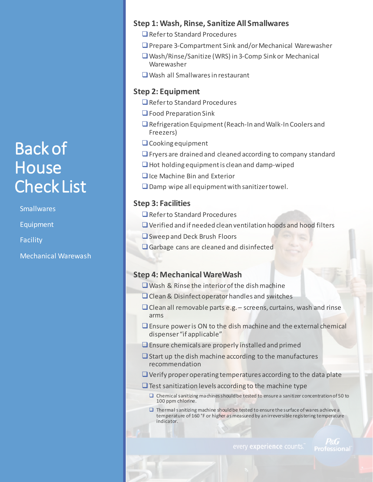### Back of **House** Check List

**Smallwares** 

Equipment

Facility

Mechanical Warewash

#### **Step 1: Wash, Rinse, Sanitize All Smallwares**

- Refer to Standard Procedures
- □ Prepare 3-Compartment Sink and/or Mechanical Warewasher
- Wash/Rinse/Sanitize (WRS) in 3-Comp Sink or Mechanical Warewasher
- Wash all Smallwares in restaurant

#### **Step 2: Equipment**

- Refer to Standard Procedures
- $\Box$  Food Preparation Sink
- □ Refrigeration Equipment (Reach-In and Walk-In Coolers and Freezers)
- Cooking equipment
- $\Box$  Fryers are drained and cleaned according to company standard
- $\Box$  Hot holding equipment is clean and damp-wiped
- □Ice Machine Bin and Exterior
- $\square$  Damp wipe all equipment with sanitizer towel.

#### **Step 3: Facilities**

- **Q** Refer to Standard Procedures
- $\Box$  Verified and if needed clean ventilation hoods and hood filters
- □ Sweep and Deck Brush Floors
- Garbage cans are cleaned and disinfected

#### **Step 4: Mechanical WareWash**

- $\square$  Wash & Rinse the interior of the dish machine
- $\Box$  Clean & Disinfect operator handles and switches
- $\Box$  Clean all removable parts e.g. screens, curtains, wash and rinse arms
- Ensure power is ON to the dish machine and the external chemical dispenser "if applicable"
- $\Box$  Ensure chemicals are properly installed and primed
- $\Box$  Start up the dish machine according to the manufactures recommendation
- $\Box$  Verify proper operating temperatures according to the data plate
- $\Box$  Test sanitization levels according to the machine type
	- $\square$  Chemical sanitizing machines should be tested to ensure a sanitizer concentration of 50 to 100 ppm chlorine.
	- $\square$  Thermal sanitizing machine should be tested to ensure the surface of wares a chieve a temperature of 160 °F or higher as measured by an irreversible registering temperature indicator.

Professional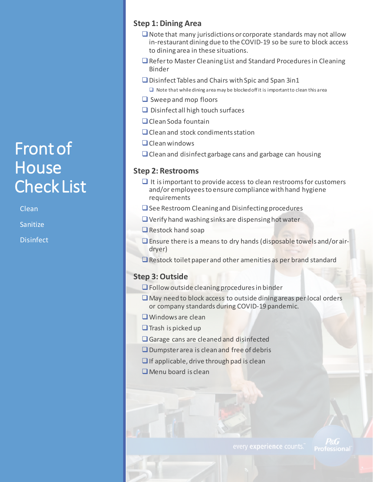### Front of **House** Check List

Clean

Sanitize

**Disinfect** 

#### **Step 1: Dining Area**

- $\Box$  Note that many jurisdictions or corporate standards may not allow in-restaurant dining due to the COVID-19 so be sure to block access to dining area in these situations.
- □ Refer to Master Cleaning List and Standard Procedures in Cleaning Binder
- $\square$  Disinfect Tables and Chairs with Spic and Span 3in1
	- $\Box$  Note that while dining area may be blocked off it is important to clean this area
- $\Box$  Sweep and mop floors
- $\Box$  Disinfect all high touch surfaces
- O Clean Soda fountain
- $\Box$  Clean and stock condiments station
- $\Box$  Clean windows
- $\Box$  Clean and disinfect garbage cans and garbage can housing

#### **Step 2: Restrooms**

- $\Box$  It is important to provide access to clean restrooms for customers and/or employees to ensure compliance with hand hygiene requirements
- $\Box$  See Restroom Cleaning and Disinfecting procedures
- $\Box$  Verify hand washing sinks are dispensing hot water
- Restock hand soap
- $\Box$  Ensure there is a means to dry hands (disposable towels and/or airdryer)
- $\Box$  Restock toilet paper and other amenities as per brand standard

#### **Step 3: Outside**

- $\Box$  Follow outside cleaning procedures in binder
- $\Box$  May need to block access to outside dining areas per local orders or company standards during COVID-19 pandemic.
- **U** Windows are clean
- $\Box$  Trash is picked up
- Garage cans are cleaned and disinfected
- **Q** Dumpster area is clean and free of debris
- $\Box$  If applicable, drive through pad is clean
- $\Box$  Menu board is clean